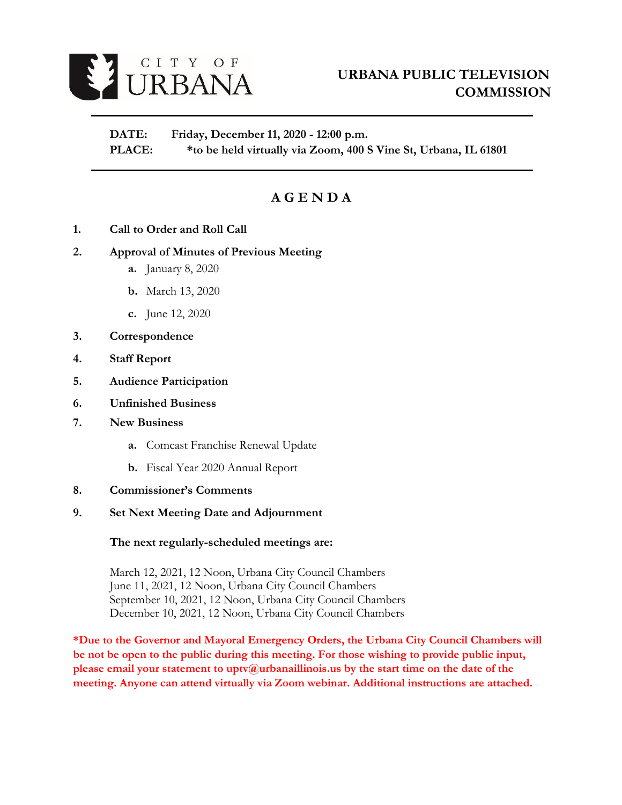

**DATE: Friday, December 11, 2020 - 12:00 p.m. PLACE: \*to be held virtually via Zoom, 400 S Vine St, Urbana, IL 61801**

# **A G E N D A**

**1. Call to Order and Roll Call** 

# **2. Approval of Minutes of Previous Meeting**

- **a.** January 8, 2020
- **b.** March 13, 2020
- **c.** June 12, 2020
- **3. Correspondence**
- **4. Staff Report**
- **5. Audience Participation**
- **6. Unfinished Business**
- **7. New Business** 
	- **a.** Comcast Franchise Renewal Update
	- **b.** Fiscal Year 2020 Annual Report
- **8. Commissioner's Comments**

#### **9. Set Next Meeting Date and Adjournment**

#### **The next regularly-scheduled meetings are:**

March 12, 2021, 12 Noon, Urbana City Council Chambers June 11, 2021, 12 Noon, Urbana City Council Chambers September 10, 2021, 12 Noon, Urbana City Council Chambers December 10, 2021, 12 Noon, Urbana City Council Chambers

**\*Due to the Governor and Mayoral Emergency Orders, the Urbana City Council Chambers will be not be open to the public during this meeting. For those wishing to provide public input, please email your statement to uptv@urbanaillinois.us by the start time on the date of the meeting. Anyone can attend virtually via Zoom webinar. Additional instructions are attached.**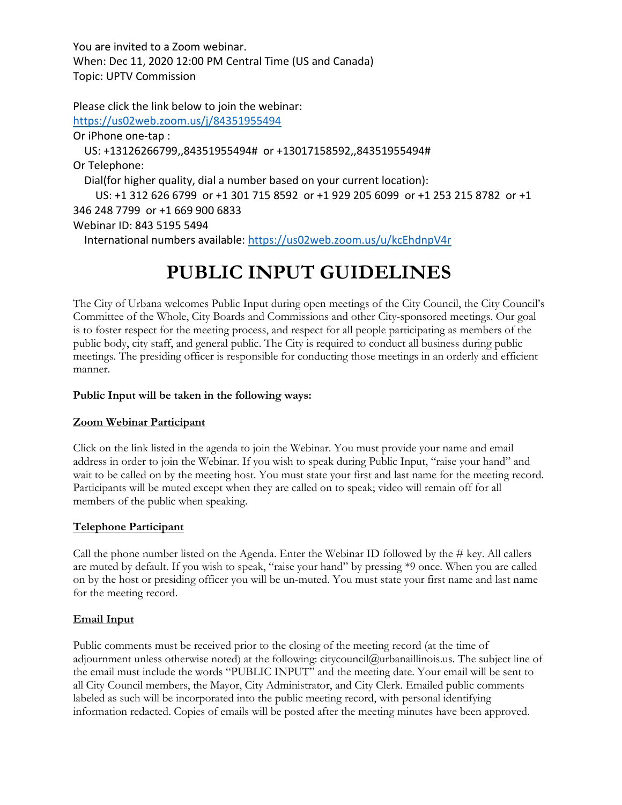You are invited to a Zoom webinar. When: Dec 11, 2020 12:00 PM Central Time (US and Canada) Topic: UPTV Commission

Please click the link below to join the webinar: <https://us02web.zoom.us/j/84351955494> Or iPhone one-tap : US: +13126266799,,84351955494# or +13017158592,,84351955494# Or Telephone: Dial(for higher quality, dial a number based on your current location): US: +1 312 626 6799 or +1 301 715 8592 or +1 929 205 6099 or +1 253 215 8782 or +1 346 248 7799 or +1 669 900 6833 Webinar ID: 843 5195 5494 International numbers available:<https://us02web.zoom.us/u/kcEhdnpV4r>

# **PUBLIC INPUT GUIDELINES**

The City of Urbana welcomes Public Input during open meetings of the City Council, the City Council's Committee of the Whole, City Boards and Commissions and other City-sponsored meetings. Our goal is to foster respect for the meeting process, and respect for all people participating as members of the public body, city staff, and general public. The City is required to conduct all business during public meetings. The presiding officer is responsible for conducting those meetings in an orderly and efficient manner.

# **Public Input will be taken in the following ways:**

# **Zoom Webinar Participant**

Click on the link listed in the agenda to join the Webinar. You must provide your name and email address in order to join the Webinar. If you wish to speak during Public Input, "raise your hand" and wait to be called on by the meeting host. You must state your first and last name for the meeting record. Participants will be muted except when they are called on to speak; video will remain off for all members of the public when speaking.

#### **Telephone Participant**

Call the phone number listed on the Agenda. Enter the Webinar ID followed by the # key. All callers are muted by default. If you wish to speak, "raise your hand" by pressing \*9 once. When you are called on by the host or presiding officer you will be un-muted. You must state your first name and last name for the meeting record.

# **Email Input**

Public comments must be received prior to the closing of the meeting record (at the time of adjournment unless otherwise noted) at the following: citycouncil@urbanaillinois.us. The subject line of the email must include the words "PUBLIC INPUT" and the meeting date. Your email will be sent to all City Council members, the Mayor, City Administrator, and City Clerk. Emailed public comments labeled as such will be incorporated into the public meeting record, with personal identifying information redacted. Copies of emails will be posted after the meeting minutes have been approved.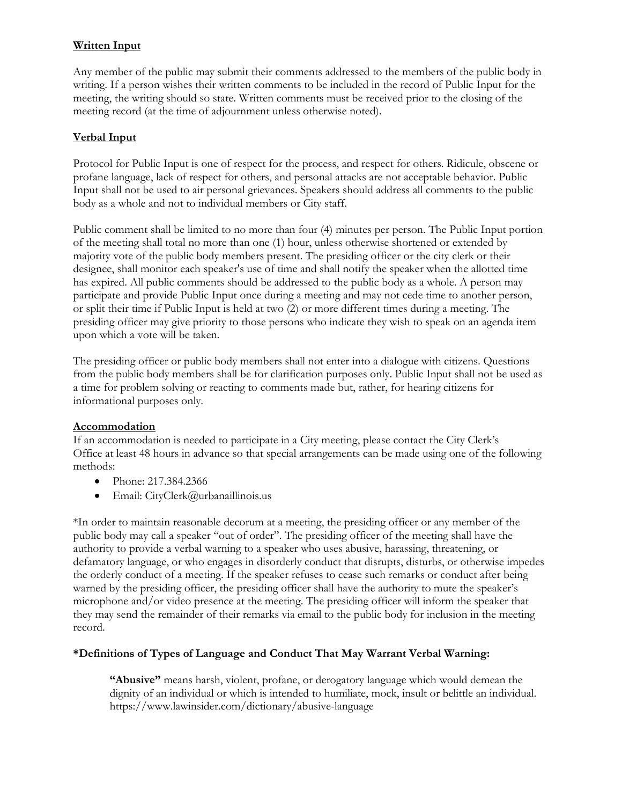# **Written Input**

Any member of the public may submit their comments addressed to the members of the public body in writing. If a person wishes their written comments to be included in the record of Public Input for the meeting, the writing should so state. Written comments must be received prior to the closing of the meeting record (at the time of adjournment unless otherwise noted).

# **Verbal Input**

Protocol for Public Input is one of respect for the process, and respect for others. Ridicule, obscene or profane language, lack of respect for others, and personal attacks are not acceptable behavior. Public Input shall not be used to air personal grievances. Speakers should address all comments to the public body as a whole and not to individual members or City staff.

Public comment shall be limited to no more than four (4) minutes per person. The Public Input portion of the meeting shall total no more than one (1) hour, unless otherwise shortened or extended by majority vote of the public body members present. The presiding officer or the city clerk or their designee, shall monitor each speaker's use of time and shall notify the speaker when the allotted time has expired. All public comments should be addressed to the public body as a whole. A person may participate and provide Public Input once during a meeting and may not cede time to another person, or split their time if Public Input is held at two (2) or more different times during a meeting. The presiding officer may give priority to those persons who indicate they wish to speak on an agenda item upon which a vote will be taken.

The presiding officer or public body members shall not enter into a dialogue with citizens. Questions from the public body members shall be for clarification purposes only. Public Input shall not be used as a time for problem solving or reacting to comments made but, rather, for hearing citizens for informational purposes only.

#### **Accommodation**

If an accommodation is needed to participate in a City meeting, please contact the City Clerk's Office at least 48 hours in advance so that special arrangements can be made using one of the following methods:

- Phone: 217.384.2366
- Email: CityClerk@urbanaillinois.us

\*In order to maintain reasonable decorum at a meeting, the presiding officer or any member of the public body may call a speaker "out of order". The presiding officer of the meeting shall have the authority to provide a verbal warning to a speaker who uses abusive, harassing, threatening, or defamatory language, or who engages in disorderly conduct that disrupts, disturbs, or otherwise impedes the orderly conduct of a meeting. If the speaker refuses to cease such remarks or conduct after being warned by the presiding officer, the presiding officer shall have the authority to mute the speaker's microphone and/or video presence at the meeting. The presiding officer will inform the speaker that they may send the remainder of their remarks via email to the public body for inclusion in the meeting record.

# **\*Definitions of Types of Language and Conduct That May Warrant Verbal Warning:**

**"Abusive"** means harsh, violent, profane, or derogatory language which would demean the dignity of an individual or which is intended to humiliate, mock, insult or belittle an individual. https://www.lawinsider.com/dictionary/abusive-language